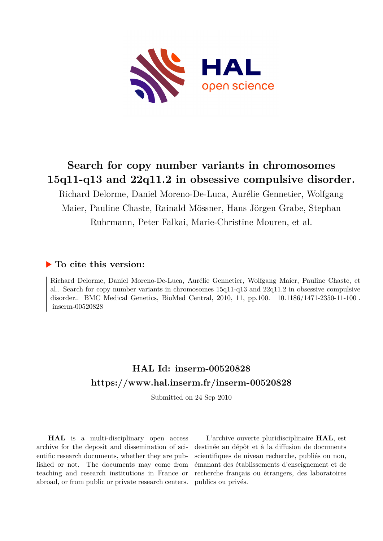

# **Search for copy number variants in chromosomes 15q11-q13 and 22q11.2 in obsessive compulsive disorder.**

Richard Delorme, Daniel Moreno-De-Luca, Aurélie Gennetier, Wolfgang Maier, Pauline Chaste, Rainald Mössner, Hans Jörgen Grabe, Stephan Ruhrmann, Peter Falkai, Marie-Christine Mouren, et al.

# **To cite this version:**

Richard Delorme, Daniel Moreno-De-Luca, Aurélie Gennetier, Wolfgang Maier, Pauline Chaste, et al.. Search for copy number variants in chromosomes 15q11-q13 and 22q11.2 in obsessive compulsive disorder.. BMC Medical Genetics, BioMed Central, 2010, 11, pp.100. 10.1186/1471-2350-11-100.  $inserm-00520828$ 

# **HAL Id: inserm-00520828 <https://www.hal.inserm.fr/inserm-00520828>**

Submitted on 24 Sep 2010

**HAL** is a multi-disciplinary open access archive for the deposit and dissemination of scientific research documents, whether they are published or not. The documents may come from teaching and research institutions in France or abroad, or from public or private research centers.

L'archive ouverte pluridisciplinaire **HAL**, est destinée au dépôt et à la diffusion de documents scientifiques de niveau recherche, publiés ou non, émanant des établissements d'enseignement et de recherche français ou étrangers, des laboratoires publics ou privés.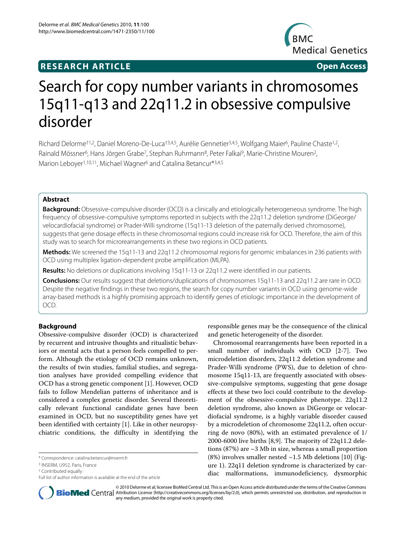# **RESEARCH ARTICLE Open Access**



# Search for copy number variants in chromosomes 15q11-q13 and 22q11.2 in obsessive compulsive disorder

Richard Delorme†1,2, Daniel Moreno-De-Luca†3,4,5, Aurélie Gennetier3,4,5, Wolfgang Maier6, Pauline Chaste1,2, Rainald Mössner<sup>6</sup>, Hans Jörgen Grabe<sup>7</sup>, Stephan Ruhrmann<sup>8</sup>, Peter Falkai<sup>9</sup>, Marie-Christine Mouren<sup>2</sup>, Marion Leboyer<sup>1,10,11</sup>, Michael Wagner<sup>6</sup> and Catalina Betancur<sup>\*3,4,5</sup>

# **Abstract**

**Background:** Obsessive-compulsive disorder (OCD) is a clinically and etiologically heterogeneous syndrome. The high frequency of obsessive-compulsive symptoms reported in subjects with the 22q11.2 deletion syndrome (DiGeorge/ velocardiofacial syndrome) or Prader-Willi syndrome (15q11-13 deletion of the paternally derived chromosome), suggests that gene dosage effects in these chromosomal regions could increase risk for OCD. Therefore, the aim of this study was to search for microrearrangements in these two regions in OCD patients.

**Methods:** We screened the 15q11-13 and 22q11.2 chromosomal regions for genomic imbalances in 236 patients with OCD using multiplex ligation-dependent probe amplification (MLPA).

**Results:** No deletions or duplications involving 15q11-13 or 22q11.2 were identified in our patients.

**Conclusions:** Our results suggest that deletions/duplications of chromosomes 15q11-13 and 22q11.2 are rare in OCD. Despite the negative findings in these two regions, the search for copy number variants in OCD using genome-wide array-based methods is a highly promising approach to identify genes of etiologic importance in the development of OCD.

# **Background**

Obsessive-compulsive disorder (OCD) is characterized by recurrent and intrusive thoughts and ritualistic behaviors or mental acts that a person feels compelled to perform. Although the etiology of OCD remains unknown, the results of twin studies, familial studies, and segregation analyses have provided compelling evidence that OCD has a strong genetic component [1]. However, OCD fails to follow Mendelian patterns of inheritance and is considered a complex genetic disorder. Several theoretically relevant functional candidate genes have been examined in OCD, but no susceptibility genes have yet been identified with certainty [1]. Like in other neuropsychiatric conditions, the difficulty in identifying the

responsible genes may be the consequence of the clinical and genetic heterogeneity of the disorder.

Chromosomal rearrangements have been reported in a small number of individuals with OCD [2-7]. Two microdeletion disorders, 22q11.2 deletion syndrome and Prader-Willi syndrome (PWS), due to deletion of chromosome 15q11-13, are frequently associated with obsessive-compulsive symptoms, suggesting that gene dosage effects at these two loci could contribute to the development of the obsessive-compulsive phenotype. 22q11.2 deletion syndrome, also known as DiGeorge or velocardiofacial syndrome, is a highly variable disorder caused by a microdeletion of chromosome 22q11.2, often occurring de novo (80%), with an estimated prevalence of 1/ 2000-6000 live births [8,9]. The majority of 22q11.2 deletions (87%) are  $\sim$ 3 Mb in size, whereas a small proportion (8%) involves smaller nested  $\sim$ 1.5 Mb deletions [10] (Figure 1). 22q11 deletion syndrome is characterized by cardiac malformations, immunodeficiency, dysmorphic

© 2010 Delorme et al; licensee BioMed Central Ltd. This is an Open Access article distributed under the terms of the Creative Commons **Bio Med Centra** Attribution License (http://creativecommons.org/licenses/by/2.0), which permits unrestricted use, distribution, and reproduction in any medium, provided the original work is properly cited.

<sup>\*</sup> Correspondence: catalina.betancur@inserm.fr

<sup>3</sup> INSERM, U952, Paris, France

<sup>†</sup> Contributed equally

Full list of author information is available at the end of the article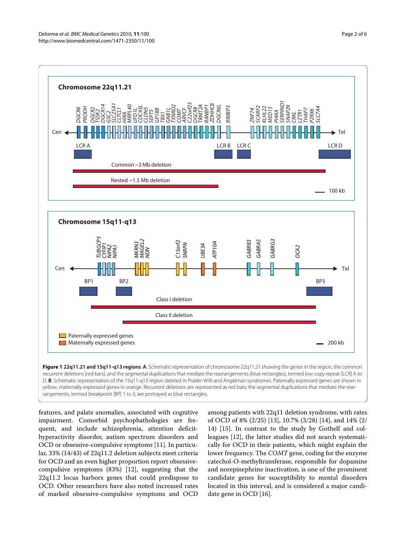

**Figure 1 22q11.21 and 15q11-q13 regions**. **A**. Schematic representation of chromosome 22q11.21 showing the genes in the region, the common recurrent deletions (red bars), and the segmental duplications that mediate the rearrangements (blue rectangles), termed low copy repeat (LCR) A to D. **B**. Schematic representation of the 15q11-q13 region deleted in Prader-Willi and Angelman syndromes. Paternally expressed genes are shown in yellow, maternally expressed genes in orange. Recurrent deletions are represented as red bars; the segmental duplications that mediate the rearrangements, termed breakpoint (BP) 1 to 3, are portrayed as blue rectangles.

features, and palate anomalies, associated with cognitive impairment. Comorbid psychophathologies are frequent, and include schizophrenia, attention deficithyperactivity disorder, autism spectrum disorders and OCD or obsessive-compulsive symptoms [11]. In particular, 33% (14/43) of 22q11.2 deletion subjects meet criteria for OCD and an even higher proportion report obsessivecompulsive symptoms (83%) [12], suggesting that the 22q11.2 locus harbors genes that could predispose to OCD. Other researchers have also noted increased rates of marked obsessive-compulsive symptoms and OCD

among patients with 22q11 deletion syndrome, with rates of OCD of 8% (2/25) [13], 10.7% (3/28) [14], and 14% (2/ 14) [15]. In contrast to the study by Gothelf and colleagues [12], the latter studies did not search systematically for OCD in their patients, which might explain the lower frequency. The *COMT* gene, coding for the enzyme catechol-O-methyltransferase, responsible for dopamine and norepinephrine inactivation, is one of the prominent candidate genes for susceptibility to mental disorders located in this interval, and is considered a major candidate gene in OCD [16].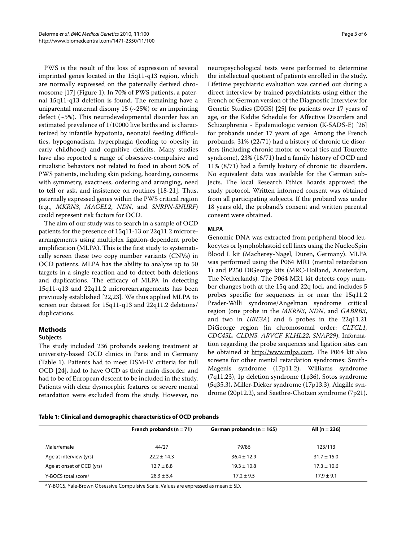PWS is the result of the loss of expression of several imprinted genes located in the 15q11-q13 region, which are normally expressed on the paternally derived chromosome [17] (Figure 1). In 70% of PWS patients, a paternal 15q11-q13 deletion is found. The remaining have a uniparental maternal disomy 15 ( $\sim$ 25%) or an imprinting defect (~5%). This neurodevelopmental disorder has an estimated prevalence of 1/10000 live births and is characterized by infantile hypotonia, neonatal feeding difficulties, hypogonadism, hyperphagia (leading to obesity in early childhood) and cognitive deficits. Many studies have also reported a range of obsessive-compulsive and ritualistic behaviors not related to food in about 50% of PWS patients, including skin picking, hoarding, concerns with symmetry, exactness, ordering and arranging, need to tell or ask, and insistence on routines [18-21]. Thus, paternally expressed genes within the PWS critical region (e.g., *MKRN3*, *MAGEL2*, *NDN*, and *SNRPN-SNURF*) could represent risk factors for OCD.

The aim of our study was to search in a sample of OCD patients for the presence of 15q11-13 or 22q11.2 microrearrangements using multiplex ligation-dependent probe amplification (MLPA). This is the first study to systematically screen these two copy number variants (CNVs) in OCD patients. MLPA has the ability to analyze up to 50 targets in a single reaction and to detect both deletions and duplications. The efficacy of MLPA in detecting 15q11-q13 and 22q11.2 microrearrangements has been previously established [22,23]. We thus applied MLPA to screen our dataset for 15q11-q13 and 22q11.2 deletions/ duplications.

# **Methods**

# **Subjects**

The study included 236 probands seeking treatment at university-based OCD clinics in Paris and in Germany (Table 1). Patients had to meet DSM-IV criteria for full OCD [24], had to have OCD as their main disorder, and had to be of European descent to be included in the study. Patients with clear dysmorphic features or severe mental retardation were excluded from the study. However, no

neuropsychological tests were performed to determine the intellectual quotient of patients enrolled in the study. Lifetime psychiatric evaluation was carried out during a direct interview by trained psychiatrists using either the French or German version of the Diagnostic Interview for Genetic Studies (DIGS) [25] for patients over 17 years of age, or the Kiddie Schedule for Affective Disorders and Schizophrenia - Epidemiologic version (K-SADS-E) [26] for probands under 17 years of age. Among the French probands, 31% (22/71) had a history of chronic tic disorders (including chronic motor or vocal tics and Tourette syndrome), 23% (16/71) had a family history of OCD and 11% (8/71) had a family history of chronic tic disorders. No equivalent data was available for the German subjects. The local Research Ethics Boards approved the study protocol. Written informed consent was obtained from all participating subjects. If the proband was under 18 years old, the proband's consent and written parental consent were obtained.

# **MLPA**

Genomic DNA was extracted from peripheral blood leukocytes or lymphoblastoid cell lines using the NucleoSpin Blood L kit (Macherey-Nagel, Duren, Germany). MLPA was performed using the P064 MR1 (mental retardation 1) and P250 DiGeorge kits (MRC-Holland, Amsterdam, The Netherlands). The P064 MR1 kit detects copy number changes both at the 15q and 22q loci, and includes 5 probes specific for sequences in or near the 15q11.2 Prader-Willi syndrome/Angelman syndrome critical region (one probe in the *MKRN3*, *NDN*, and *GABRB3*, and two in *UBE3A*) and 6 probes in the 22q11.21 DiGeorge region (in chromosomal order: *CLTCL1, CDC45L, CLDN5, ARVCF, KLHL22, SNAP29*). Information regarding the probe sequences and ligation sites can be obtained at [http://www.mlpa.com.](http://www.mlpa.com) The P064 kit also screens for other mental retardation syndromes: Smith-Magenis syndrome (17p11.2), Williams syndrome (7q11.23), 1p deletion syndrome (1p36), Sotos syndrome (5q35.3), Miller-Dieker syndrome (17p13.3), Alagille syndrome (20p12.2), and Saethre-Chotzen syndrome (7p21).

#### **Table 1: Clinical and demographic characteristics of OCD probands**

|                                 | French probands $(n = 71)$ | German probands ( $n = 165$ ) | All $(n = 236)$ |
|---------------------------------|----------------------------|-------------------------------|-----------------|
| Male/female                     | 44/27                      | 79/86                         | 123/113         |
| Age at interview (yrs)          | $22.2 \pm 14.3$            | $36.4 \pm 12.9$               | $31.7 \pm 15.0$ |
| Age at onset of OCD (yrs)       | $12.7 \pm 8.8$             | $19.3 \pm 10.8$               | $17.3 \pm 10.6$ |
| Y-BOCS total score <sup>a</sup> | $28.3 \pm 5.4$             | $17.2 \pm 9.5$                | $17.9 \pm 9.1$  |

a Y-BOCS, Yale-Brown Obsessive Compulsive Scale. Values are expressed as mean ± SD.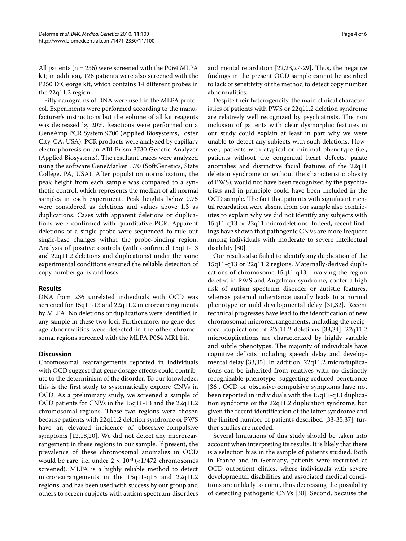All patients (n = 236) were screened with the P064 MLPA kit; in addition, 126 patients were also screened with the P250 DiGeorge kit, which contains 14 different probes in the 22q11.2 region.

Fifty nanograms of DNA were used in the MLPA protocol. Experiments were performed according to the manufacturer's instructions but the volume of all kit reagents was decreased by 20%. Reactions were performed on a GeneAmp PCR System 9700 (Applied Biosystems, Foster City, CA, USA). PCR products were analyzed by capillary electrophoresis on an ABI Prism 3730 Genetic Analyzer (Applied Biosystems). The resultant traces were analyzed using the software GeneMarker 1.70 (SoftGenetics, State College, PA, USA). After population normalization, the peak height from each sample was compared to a synthetic control, which represents the median of all normal samples in each experiment. Peak heights below 0.75 were considered as deletions and values above 1.3 as duplications. Cases with apparent deletions or duplications were confirmed with quantitative PCR. Apparent deletions of a single probe were sequenced to rule out single-base changes within the probe-binding region. Analysis of positive controls (with confirmed 15q11-13 and 22q11.2 deletions and duplications) under the same experimental conditions ensured the reliable detection of copy number gains and loses.

# **Results**

DNA from 236 unrelated individuals with OCD was screened for 15q11-13 and 22q11.2 microrearrangements by MLPA. No deletions or duplications were identified in any sample in these two loci. Furthermore, no gene dosage abnormalities were detected in the other chromosomal regions screened with the MLPA P064 MR1 kit.

# **Discussion**

Chromosomal rearrangements reported in individuals with OCD suggest that gene dosage effects could contribute to the determinism of the disorder. To our knowledge, this is the first study to systematically explore CNVs in OCD. As a preliminary study, we screened a sample of OCD patients for CNVs in the 15q11-13 and the 22q11.2 chromosomal regions. These two regions were chosen because patients with 22q11.2 deletion syndrome or PWS have an elevated incidence of obsessive-compulsive symptoms [12,18,20]. We did not detect any microrearrangement in these regions in our sample. If present, the prevalence of these chromosomal anomalies in OCD would be rare, i.e. under  $2 \times 10^{-3}$  (<1/472 chromosomes screened). MLPA is a highly reliable method to detect microrearrangements in the 15q11-q13 and 22q11.2 regions, and has been used with success by our group and others to screen subjects with autism spectrum disorders and mental retardation [22,23,27-29]. Thus, the negative findings in the present OCD sample cannot be ascribed to lack of sensitivity of the method to detect copy number abnormalities.

Despite their heterogeneity, the main clinical characteristics of patients with PWS or 22q11.2 deletion syndrome are relatively well recognized by psychiatrists. The non inclusion of patients with clear dysmorphic features in our study could explain at least in part why we were unable to detect any subjects with such deletions. However, patients with atypical or minimal phenotype (i.e., patients without the congenital heart defects, palate anomalies and distinctive facial features of the 22q11 deletion syndrome or without the characteristic obesity of PWS), would not have been recognized by the psychiatrists and in principle could have been included in the OCD sample. The fact that patients with significant mental retardation were absent from our sample also contributes to explain why we did not identify any subjects with 15q11-q13 or 22q11 microdeletions. Indeed, recent findings have shown that pathogenic CNVs are more frequent among individuals with moderate to severe intellectual disability [30].

Our results also failed to identify any duplication of the 15q11-q13 or 22q11.2 regions. Maternally-derived duplications of chromosome 15q11-q13, involving the region deleted in PWS and Angelman syndrome, confer a high risk of autism spectrum disorder or autistic features, whereas paternal inheritance usually leads to a normal phenotype or mild developmental delay [31,32]. Recent technical progresses have lead to the identification of new chromosomal microrearrangements, including the reciprocal duplications of 22q11.2 deletions [33,34]. 22q11.2 microduplications are characterized by highly variable and subtle phenotypes. The majority of individuals have cognitive deficits including speech delay and developmental delay [33,35]. In addition, 22q11.2 microduplications can be inherited from relatives with no distinctly recognizable phenotype, suggesting reduced penetrance [36]. OCD or obsessive-compulsive symptoms have not been reported in individuals with the 15q11-q13 duplication syndrome or the 22q11.2 duplication syndrome, but given the recent identification of the latter syndrome and the limited number of patients described [33-35,37], further studies are needed.

Several limitations of this study should be taken into account when interpreting its results. It is likely that there is a selection bias in the sample of patients studied. Both in France and in Germany, patients were recruited at OCD outpatient clinics, where individuals with severe developmental disabilities and associated medical conditions are unlikely to come, thus decreasing the possibility of detecting pathogenic CNVs [30]. Second, because the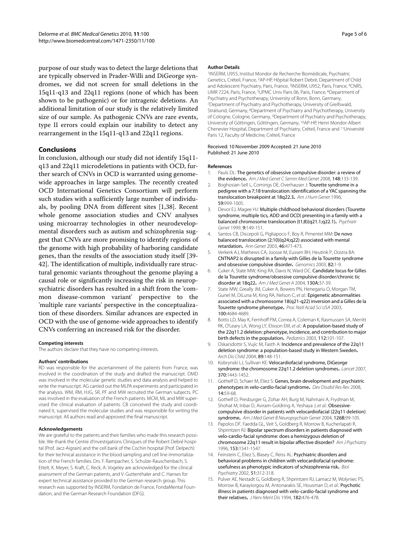purpose of our study was to detect the large deletions that are typically observed in Prader-Willi and DiGeorge syndromes, we did not screen for small deletions in the 15q11-q13 and 22q11 regions (none of which has been shown to be pathogenic) or for intragenic deletions. An additional limitation of our study is the relatively limited size of our sample. As pathogenic CNVs are rare events, type II errors could explain our inability to detect any rearrangement in the 15q11-q13 and 22q11 regions.

### **Conclusions**

In conclusion, although our study did not identify 15q11 q13 and 22q11 microdeletions in patients with OCD, further search of CNVs in OCD is warranted using genomewide approaches in large samples. The recently created OCD International Genetics Consortium will perform such studies with a sufficiently large number of individuals, by pooling DNA from different sites [1,38]. Recent whole genome association studies and CNV analyses using microarray technologies in other neurodevelopmental disorders such as autism and schizophrenia suggest that CNVs are more promising to identify regions of the genome with high probability of harboring candidate genes, than the results of the association study itself [39- 42]. The identification of multiple, individually rare structural genomic variants throughout the genome playing a causal role or significantly increasing the risk in neuropsychiatric disorders has resulted in a shift from the 'common disease-common variant' perspective to the 'multiple rare variants' perspective in the conceptualization of these disorders. Similar advances are expected in OCD with the use of genome-wide approaches to identify CNVs conferring an increased risk for the disorder.

#### **Competing interests**

The authors declare that they have no competing interests.

#### **Authors' contributions**

RD was responsible for the ascertainment of the patients from France, was involved in the coordination of the study and drafted the manuscript. DMD was involved in the molecular genetic studies and data analysis and helped to write the manuscript. AG carried out the MLPA experiments and participated in the analysis. WM, RM, HJG, SR, PF and MW recruited the German subjects. PC was involved in the evaluation of the French patients. MCM, ML and MW supervised the clinical evaluation of patients. CB conceived the study and coordinated it, supervised the molecular studies and was responsible for writing the manuscript. All authors read and approved the final manuscript.

#### **Acknowledgements**

We are grateful to the patients and their families who made this research possible. We thank the Centre d'Investigations Cliniques of the Robert Debré hospital (Prof. Jacz-Aigrain) and the cell bank of the Cochin hospital (Prof. Delpech) for their technical assistance in the blood sampling and cell line immortalization of the French families. Drs. F. Rampacher, S. Schulze-Rauschenbach, S. Ettelt, K. Meyer, S. Kraft, C. Reck, A. Vogeley are acknowledged for the clinical assessment of the German patients, and V. Guttenthaler and C. Hanses for expert technical assistance provided to the German research group. This research was supported by INSERM, Fondation de France, FondaMental Foundation, and the German Research Foundation (DFG).

#### **Author Details**

1INSERM, U955, Institut Mondor de Recherche Biomédicale, Psychiatric Genetics, Créteil, France, 2AP-HP, Hôpital Robert Debré, Department of Child and Adolescent Psychiatry, Paris, France, <sup>3</sup>INSERM, U952, Paris, France, <sup>4</sup>CNRS, UMR 7224, Paris, France, 5UPMC Univ Paris 06, Paris, France, 6Department of Psychiatry and Psychotherapy, University of Bonn, Bonn, Germany, 7Department of Psychiatry and Psychotherapy, University of Greifswald, Stralsund, Germany, 8Department of Psychiatry and Psychotherapy, University of Cologne, Cologne, Germany, 9Department of Psychiatry and Psychotherapy, University of Göttingen, Göttingen, Germany, 10AP-HP, Henri Mondor-Albert Chenevier Hospital, Department of Psychiatry, Créteil, France and 11Université Paris 12, Faculty of Medicine, Créteil, France

#### Received: 10 November 2009 Accepted: 21 June 2010 Published: 21 June 2010

#### **References**

- Pauls DL: The genetics of obsessive compulsive disorder: a review of the evidence**.** Am J Med Genet C Semin Med Genet 2008, 148:133-139.
- 2. Boghosian-Sell L, Comings DE, Overhauser J: Tourette syndrome in a pedigree with a 7;18 translocation: identification of a YAC spanning the translocation breakpoint at 18q22.3**.** Am J Hum Genet 1996, 59:999-1005.
- 3. Devor EJ, Magee HJ: Multiple childhood behavioral disorders (Tourette syndrome, multiple tics, ADD and OCD) presenting in a family with a balanced chromosome translocation (t1;8)(q21.1;q22.1)**.** Psychiatr Genet 1999, 9:149-151.
- Santos CB, Discepoli G, Pigliapoco F, Boy R, Pimentel MM: De novo balanced translocation (2;10)(q24;q22) associated with mental retardation**.** Ann Genet 2003, 46:471-473.
- 5. Verkerk AJ, Mathews CA, Joosse M, Eussen BH, Heutink P, Oostra BA: CNTNAP2 is disrupted in a family with Gilles de la Tourette syndrome and obsessive compulsive disorder**.** Genomics 2003, 82:1-9.
- 6. Cuker A, State MW, King RA, Davis N, Ward DC: Candidate locus for Gilles de la Tourette syndrome/obsessive compulsive disorder/chronic tic disorder at 18q22**[.](http://www.ncbi.nlm.nih.gov/entrez/query.fcgi?cmd=Retrieve&db=PubMed&dopt=Abstract&list_uids=15368493)** Am J Med Genet A 2004, 130A:37-39.
- 7. State MW, Greally JM, Cuker A, Bowers PN, Henegariu O, Morgan TM, Gunel M, DiLuna M, King RA, Nelson C, et al.: Epigenetic abnormalities associated with a chromosome 18(q21-q22) inversion and a Gilles de la Tourette syndrome phenotype**.** Proc Natl Acad Sci USA 2003, 100:4684-4689.
- 8. Botto LD, May K, Fernhoff PM, Correa A, Coleman K, Rasmussen SA, Merritt RK, O'Leary LA, Wong LY, Elixson EM, et al.: A population-based study of the 22q11.2 deletion: phenotype, incidence, and contribution to major birth defects in the population**.** Pediatrics 2003, 112:101-107.
- 9. Oskarsdottir S, Vujic M, Fasth A: Incidence and prevalence of the 22q11 deletion syndrome: a population-based study in Western Sweden**.** Arch Dis Child 2004, 89:148-151.
- 10. Kobrynski LJ, Sullivan KE: Velocardiofacial syndrome, DiGeorge syndrome: the chromosome 22q11.2 deletion syndromes**.** Lancet 2007, 370:1443-1452.
- 11. Gothelf D, Schaer M, Eliez S: Genes, brain development and psychiatric phenotypes in velo-cardio-facial syndrome**.** Dev Disabil Res Rev 2008, 14:59-68.
- 12. Gothelf D, Presburger G, Zohar AH, Burg M, Nahmani A, Frydman M, Shohat M, Inbar D, Aviram-Goldring A, Yeshaya J, et al.: Obsessivecompulsive disorder in patients with velocardiofacial (22q11 deletion) syndrome**.** Am J Med Genet B Neuropsychiatr Genet 2004, 126B:99-105.
- 13. Papolos DF, Faedda GL, Veit S, Goldberg R, Morrow B, Kucherlapati R, Shprintzen RJ: Bipolar spectrum disorders in patients diagnosed with velo-cardio-facial syndrome: does a hemizygous deletion of chromosome22q11 result in bipolar affective disorder? Am J Psychiatry 1996, 153:1541-1547.
- 14. Feinstein C, Eliez S, Blasey C, Reiss AL: Psychiatric disorders and behavioral problems in children with velocardiofacial syndrome: usefulness as phenotypic indicators of schizophrenia risk**.** Biol Psychiatry 2002, 51:312-318.
- 15. Pulver AE, Nestadt G, Goldberg R, Shprintzen RJ, Lamacz M, Wolyniec PS, Morrow B, Karayiorgou M, Antonarakis SE, Housman D, et al.: Psychotic illness in patients diagnosed with velo-cardio-facial syndrome and their relatives**.** J Nerv Ment Dis 1994, 182:476-478.